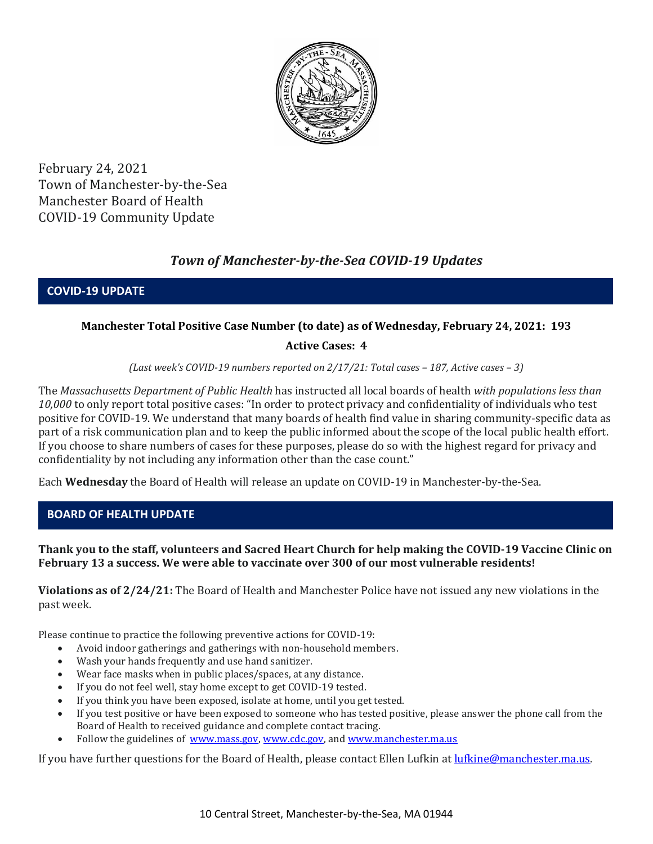

February 24, 2021 Town of Manchester-by-the-Sea Manchester Board of Health COVID-19 Community Update

# *Town of Manchester-by-the-Sea COVID-19 Updates*

**COVID-19 UPDATE**

### **Manchester Total Positive Case Number (to date) as of Wednesday, February 24, 2021: 193**

### **Active Cases: 4**

*(Last week's COVID-19 numbers reported on 2/17/21: Total cases – 187, Active cases – 3)*

The *Massachusetts Department of Public Health* has instructed all local boards of health *with populations less than 10,000* to only report total positive cases: "In order to protect privacy and confidentiality of individuals who test positive for COVID-19. We understand that many boards of health find value in sharing community-specific data as part of a risk communication plan and to keep the public informed about the scope of the local public health effort. If you choose to share numbers of cases for these purposes, please do so with the highest regard for privacy and confidentiality by not including any information other than the case count."

Each **Wednesday** the Board of Health will release an update on COVID-19 in Manchester-by-the-Sea.

### **BOARD OF HEALTH UPDATE**

### **Thank you to the staff, volunteers and Sacred Heart Church for help making the COVID-19 Vaccine Clinic on February 13 a success. We were able to vaccinate over 300 of our most vulnerable residents!**

**Violations as of 2/24/21:** The Board of Health and Manchester Police have not issued any new violations in the past week.

Please continue to practice the following preventive actions for COVID-19:

- Avoid indoor gatherings and gatherings with non-household members.
- Wash your hands frequently and use hand sanitizer.
- Wear face masks when in public places/spaces, at any distance.
- If you do not feel well, stay home except to get COVID-19 tested.
- If you think you have been exposed, isolate at home, until you get tested.
- If you test positive or have been exposed to someone who has tested positive, please answer the phone call from the Board of Health to received guidance and complete contact tracing.
- Follow the guidelines of [www.mass.gov,](http://www.mass.gov/) [www.cdc.gov,](https://www.cdc.gov/) an[d www.manchester.ma.us](http://www.manchester.ma.us/)

If you have further questions for the Board of Health, please contact Ellen Lufkin at [lufkine@manchester.ma.us.](mailto:lufkine@manchester.ma.us)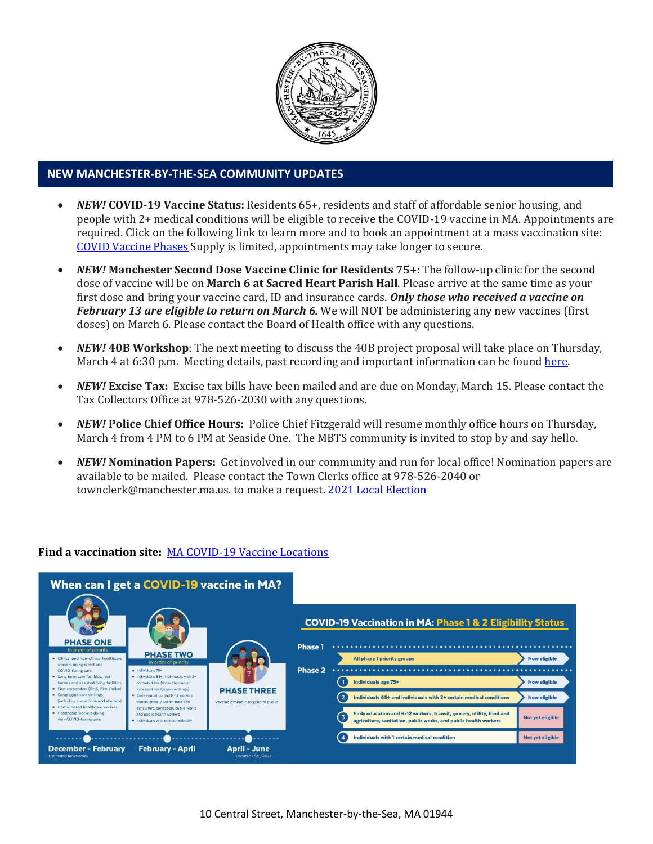

#### **NEW MANCHESTER-BY-THE-SEA COMMUNITY UPDATES**

- *NEW!* **COVID-19 Vaccine Status:** Residents 65+, residents and staff of affordable senior housing, and people with 2+ medical conditions will be eligible to receive the COVID-19 vaccine in MA. Appointments are required. Click on the following link to learn more and to book an appointment at a mass vaccination site: [COVID Vaccine Phases](https://www.mass.gov/info-details/massachusetts-covid-19-vaccination-phases) Supply is limited, appointments may take longer to secure.
- *NEW!* **Manchester Second Dose Vaccine Clinic for Residents 75+:** The follow-up clinic for the second dose of vaccine will be on **March 6 at Sacred Heart Parish Hall**. Please arrive at the same time as your first dose and bring your vaccine card, ID and insurance cards. *Only those who received a vaccine on February 13 are eligible to return on March 6.* We will NOT be administering any new vaccines (first doses) on March 6. Please contact the Board of Health office with any questions.
- *NEW!* **40B Workshop**: The next meeting to discuss the 40B project proposal will take place on Thursday, March 4 at 6:30 p.m. Meeting details, past recording and important information can be found [here.](http://manchester.ma.us/729/40B)
- *NEW!* **Excise Tax:** Excise tax bills have been mailed and are due on Monday, March 15. Please contact the Tax Collectors Office at 978-526-2030 with any questions.
- *NEW!* **Police Chief Office Hours:** Police Chief Fitzgerald will resume monthly office hours on Thursday, March 4 from 4 PM to 6 PM at Seaside One. The MBTS community is invited to stop by and say hello.
- *NEW!* **Nomination Papers:** Get involved in our community and run for local office! Nomination papers are available to be mailed. Please contact the Town Clerks office at 978-526-2040 or townclerk@manchester.ma.us. to make a request[. 2021 Local Election](http://manchester.ma.us/503/Town-Meetings-and-Elections)

#### **Find a vaccination site:** [MA COVID-19 Vaccine Locations](https://www.mass.gov/info-details/covid-19-vaccination-locations)

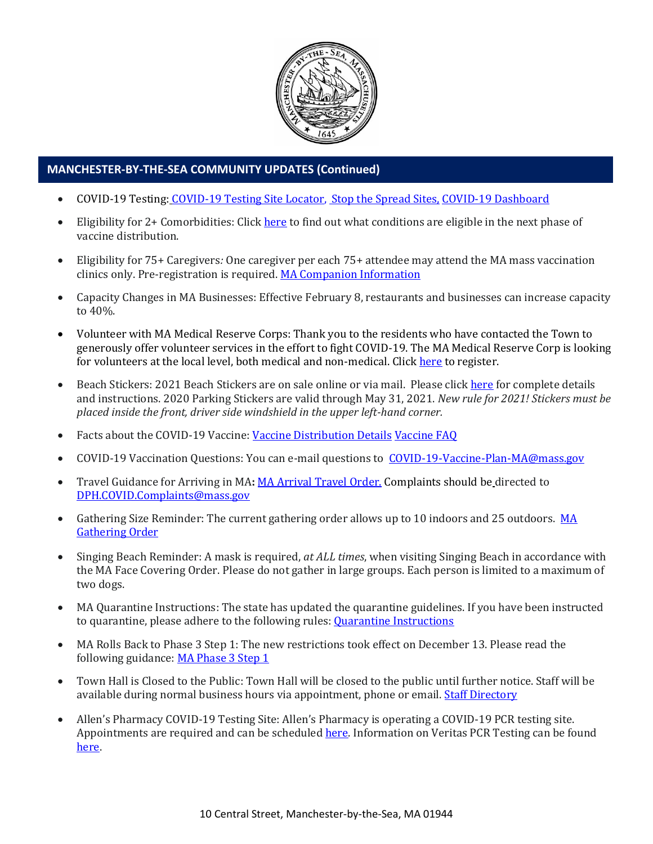

## **MANCHESTER-BY-THE-SEA COMMUNITY UPDATES (Continued)**

- COVID-19 Testing: [COVID-19 Testing Site Locator,](https://memamaps.maps.arcgis.com/apps/webappviewer/index.html?id=eba3f0395451430b9f631cb095febf13) [Stop the Spread Sites,](https://www.mass.gov/info-details/stop-the-spread) [COVID-19 Dashboard](https://www.mass.gov/info-details/covid-19-response-reporting#covid-19-interactive-data-dashboard-)
- Eligibility for 2+ Comorbidities: Clic[k here](https://www.mass.gov/info-details/covid-19-vaccinations-for-individuals-with-certain-medical-conditions) to find out what conditions are eligible in the next phase of vaccine distribution.
- Eligibility for 75+ Caregivers*:* One caregiver per each 75+ attendee may attend the MA mass vaccination clinics only. Pre-registration is required. [MA Companion Information](http://manchester.ma.us/DocumentCenter/View/3674/COVID19-Vaccine-75-plus-Companion-Information-2102021)
- Capacity Changes in MA Businesses: Effective February 8, restaurants and businesses can increase capacity to 40%.
- Volunteer with MA Medical Reserve Corps: Thank you to the residents who have contacted the Town to generously offer volunteer services in the effort to fight COVID-19. The MA Medical Reserve Corp is looking for volunteers at the local level, both medical and non-medical. Clic[k here](https://l.facebook.com/l.php?u=https%3A%2F%2Fwww.mamedicalreservecorps.org%2Fcovid19%3Ffbclid%3DIwAR1O_7U70XMSPe_kbb689S7zAJbCTYavpqNhIz9Ce2s-encj1Mlz3fOmjYI&h=AT3a2b6zxupFiw2RA_9kLVFDLZwmtblukw3wwe3pvVN6YWtLrkwxEyW8Z8S97uuzXDiNt1x4DYp7DeOoXm1U98GjBQQufV4R5eC5sYpFoqMi6iMDgiQu2THu_d0XoA0BnNUMg336NM-KtUxjtQ&__tn__=-UK-R&c%5b0%5d=AT2anP_ULhxU-U55t7AxrMiNTXfNIJnoicfzRyKEGzk_70Dtxb6ttNSKpwftDkeovmenW9ksjPEmhjSrMDjZ_NEMD2Upi_WEREnPIZBLU-8cgapV1WMi5HvUjS0InF_0K4aE4PXV6bei0V79lnY9jSo89LgXHVCMF9u0-PYa4j6cBMOzl7xPt7oB2_WGVQ8cDciW8b9U) to register.
- Beach Stickers: 2021 Beach Stickers are on sale online or via mail. Please clic[k here](http://manchester.ma.us/252/Beach-Resident-Parking-Stickers) for complete details and instructions. 2020 Parking Stickers are valid through May 31, 2021. *New rule for 2021! Stickers must be placed inside the front, driver side windshield in the upper left-hand corner.*
- Facts about the COVID-19 Vaccine: [Vaccine Distribution Details](http://ma-manchesterbythesea.civicplus.com/DocumentCenter/View/3629/StopCOVID19_Need-to-Know_Final_English) [Vaccine FAQ](https://www.mass.gov/info-details/covid-19-vaccine-frequently-asked-questions)
- COVID-19 Vaccination Questions: You can e-mail questions to [COVID-19-Vaccine-Plan-MA@mass.gov](file:///C:/Users/marlettat/Desktop/Public%20Relations/2021/COVID-19-Vaccine-Plan-MA@mass.gov)
- Travel Guidance for Arriving in MA: [MA Arrival Travel Order.](https://www.mass.gov/guidance/guidance-for-travelers-arriving-in-the-commonwealth-of-massachusetts) Complaints should be directed to [DPH.COVID.Complaints@mass.gov](mailto:DPH.COVID.Complaints@mass.gov)
- Gathering Size Reminder: The current gathering order allows up to 10 indoors and 25 outdoors. MA [Gathering Order](http://manchester.ma.us/DocumentCenter/View/3611/StopCOVID19-LargeGathering-Updated-2020-12-26_English)
- Singing Beach Reminder: A mask is required, *at ALL times*, when visiting Singing Beach in accordance with the MA Face Covering Order. Please do not gather in large groups. Each person is limited to a maximum of two dogs.
- MA Quarantine Instructions: The state has updated the quarantine guidelines. If you have been instructed to quarantine, please adhere to the following rules: **Quarantine Instructions**
- MA Rolls Back to Phase 3 Step 1: The new restrictions took effect on December 13. Please read the following guidance: [MA Phase 3 Step 1](https://www.mass.gov/news/baker-polito-administration-announces-statewide-rollback-to-phase-three-step-one-additional)
- Town Hall is Closed to the Public: Town Hall will be closed to the public until further notice. Staff will be available during normal business hours via appointment, phone or email. [Staff Directory](http://manchester.ma.us/directory.aspx)
- Allen's Pharmacy COVID-19 Testing Site: Allen's Pharmacy is operating a COVID-19 PCR testing site. Appointments are required and can be scheduled [here.](https://schedule.veritasgenetics.com/) Information on Veritas PCR Testing can be found [here.](https://www.veritasgenetics.com/covid-molecular/)